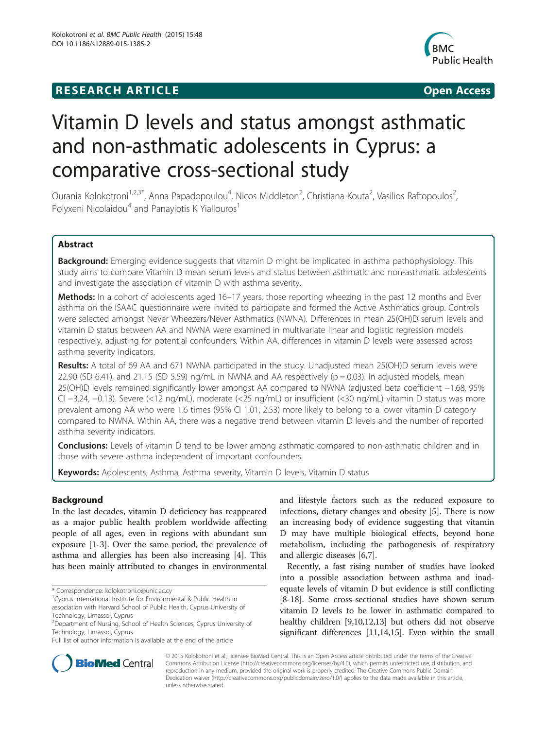## **RESEARCH ARTICLE Example 2014 12:30 The SEAR CHIPS 2014 12:30 The Open Access**



# Vitamin D levels and status amongst asthmatic and non-asthmatic adolescents in Cyprus: a comparative cross-sectional study

Ourania Kolokotroni<sup>1,2,3\*</sup>, Anna Papadopoulou<sup>4</sup>, Nicos Middleton<sup>2</sup>, Christiana Kouta<sup>2</sup>, Vasilios Raftopoulos<sup>2</sup> , Polyxeni Nicolaidou<sup>4</sup> and Panayiotis K Yiallouros<sup>1</sup>

### Abstract

**Background:** Emerging evidence suggests that vitamin D might be implicated in asthma pathophysiology. This study aims to compare Vitamin D mean serum levels and status between asthmatic and non-asthmatic adolescents and investigate the association of vitamin D with asthma severity.

Methods: In a cohort of adolescents aged 16–17 years, those reporting wheezing in the past 12 months and Ever asthma on the ISAAC questionnaire were invited to participate and formed the Active Asthmatics group. Controls were selected amongst Never Wheezers/Never Asthmatics (NWNA). Differences in mean 25(OH)D serum levels and vitamin D status between AA and NWNA were examined in multivariate linear and logistic regression models respectively, adjusting for potential confounders. Within AA, differences in vitamin D levels were assessed across asthma severity indicators.

Results: A total of 69 AA and 671 NWNA participated in the study. Unadjusted mean 25(OH)D serum levels were 22.90 (SD 6.41), and 21.15 (SD 5.59) ng/mL in NWNA and AA respectively ( $p = 0.03$ ). In adjusted models, mean 25(OH)D levels remained significantly lower amongst AA compared to NWNA (adjusted beta coefficient −1.68, 95% CI −3.24, −0.13). Severe (<12 ng/mL), moderate (<25 ng/mL) or insufficient (<30 ng/mL) vitamin D status was more prevalent among AA who were 1.6 times (95% CI 1.01, 2.53) more likely to belong to a lower vitamin D category compared to NWNA. Within AA, there was a negative trend between vitamin D levels and the number of reported asthma severity indicators.

**Conclusions:** Levels of vitamin D tend to be lower among asthmatic compared to non-asthmatic children and in those with severe asthma independent of important confounders.

Keywords: Adolescents, Asthma, Asthma severity, Vitamin D levels, Vitamin D status

#### Background

In the last decades, vitamin D deficiency has reappeared as a major public health problem worldwide affecting people of all ages, even in regions with abundant sun exposure [\[1](#page-7-0)-[3\]](#page-7-0). Over the same period, the prevalence of asthma and allergies has been also increasing [[4\]](#page-7-0). This has been mainly attributed to changes in environmental

and lifestyle factors such as the reduced exposure to infections, dietary changes and obesity [\[5](#page-7-0)]. There is now an increasing body of evidence suggesting that vitamin D may have multiple biological effects, beyond bone metabolism, including the pathogenesis of respiratory and allergic diseases [\[6,7](#page-7-0)].

Recently, a fast rising number of studies have looked into a possible association between asthma and inadequate levels of vitamin D but evidence is still conflicting [[8-18\]](#page-7-0). Some cross-sectional studies have shown serum vitamin D levels to be lower in asthmatic compared to healthy children [\[9,10,12,13](#page-7-0)] but others did not observe significant differences [[11,14,15\]](#page-7-0). Even within the small



© 2015 Kolokotroni et al.; licensee BioMed Central. This is an Open Access article distributed under the terms of the Creative Commons Attribution License [\(http://creativecommons.org/licenses/by/4.0\)](http://creativecommons.org/licenses/by/4.0), which permits unrestricted use, distribution, and reproduction in any medium, provided the original work is properly credited. The Creative Commons Public Domain Dedication waiver [\(http://creativecommons.org/publicdomain/zero/1.0/](http://creativecommons.org/publicdomain/zero/1.0/)) applies to the data made available in this article, unless otherwise stated.

<sup>\*</sup> Correspondence: [kolokotroni.o@unic.ac.cy](mailto:kolokotroni.o@unic.ac.cy) <sup>1</sup>

<sup>&</sup>lt;sup>1</sup> Cyprus International Institute for Environmental & Public Health in association with Harvard School of Public Health, Cyprus University of

Technology, Limassol, Cyprus <sup>2</sup>Department of Nursing, School of Health Sciences, Cyprus University of

Technology, Limassol, Cyprus

Full list of author information is available at the end of the article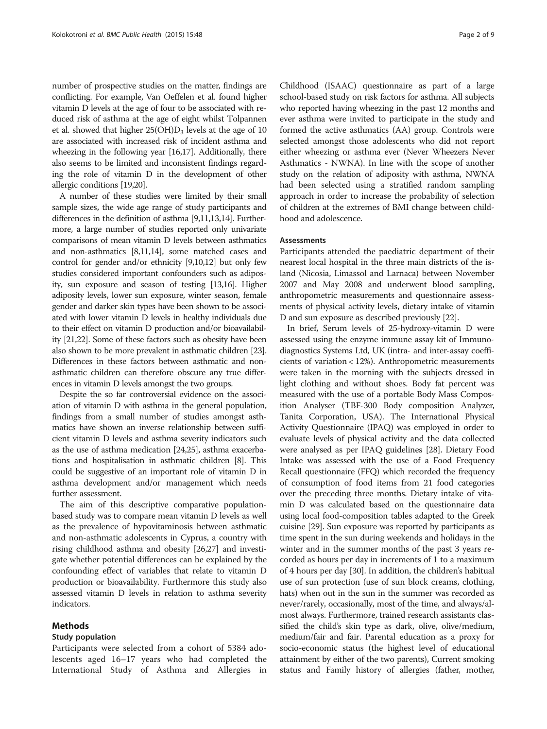number of prospective studies on the matter, findings are conflicting. For example, Van Oeffelen et al. found higher vitamin D levels at the age of four to be associated with reduced risk of asthma at the age of eight whilst Tolpannen et al. showed that higher  $25(OH)D_3$  levels at the age of 10 are associated with increased risk of incident asthma and wheezing in the following year [[16,17\]](#page-7-0). Additionally, there also seems to be limited and inconsistent findings regarding the role of vitamin D in the development of other allergic conditions [\[19,20](#page-8-0)].

A number of these studies were limited by their small sample sizes, the wide age range of study participants and differences in the definition of asthma [\[9,11,13,14](#page-7-0)]. Furthermore, a large number of studies reported only univariate comparisons of mean vitamin D levels between asthmatics and non-asthmatics [\[8,11,14](#page-7-0)], some matched cases and control for gender and/or ethnicity [\[9,10,12](#page-7-0)] but only few studies considered important confounders such as adiposity, sun exposure and season of testing [\[13,16\]](#page-7-0). Higher adiposity levels, lower sun exposure, winter season, female gender and darker skin types have been shown to be associated with lower vitamin D levels in healthy individuals due to their effect on vitamin D production and/or bioavailability [\[21,22](#page-8-0)]. Some of these factors such as obesity have been also shown to be more prevalent in asthmatic children [\[23](#page-8-0)]. Differences in these factors between asthmatic and nonasthmatic children can therefore obscure any true differences in vitamin D levels amongst the two groups.

Despite the so far controversial evidence on the association of vitamin D with asthma in the general population, findings from a small number of studies amongst asthmatics have shown an inverse relationship between sufficient vitamin D levels and asthma severity indicators such as the use of asthma medication [\[24,25\]](#page-8-0), asthma exacerbations and hospitalisation in asthmatic children [\[8\]](#page-7-0). This could be suggestive of an important role of vitamin D in asthma development and/or management which needs further assessment.

The aim of this descriptive comparative populationbased study was to compare mean vitamin D levels as well as the prevalence of hypovitaminosis between asthmatic and non-asthmatic adolescents in Cyprus, a country with rising childhood asthma and obesity [[26](#page-8-0),[27](#page-8-0)] and investigate whether potential differences can be explained by the confounding effect of variables that relate to vitamin D production or bioavailability. Furthermore this study also assessed vitamin D levels in relation to asthma severity indicators.

#### Methods

#### Study population

Participants were selected from a cohort of 5384 adolescents aged 16–17 years who had completed the International Study of Asthma and Allergies in

Childhood (ISAAC) questionnaire as part of a large school-based study on risk factors for asthma. All subjects who reported having wheezing in the past 12 months and ever asthma were invited to participate in the study and formed the active asthmatics (AA) group. Controls were selected amongst those adolescents who did not report either wheezing or asthma ever (Never Wheezers Never Asthmatics - NWNA). In line with the scope of another study on the relation of adiposity with asthma, NWNA had been selected using a stratified random sampling approach in order to increase the probability of selection of children at the extremes of BMI change between childhood and adolescence.

#### Assessments

Participants attended the paediatric department of their nearest local hospital in the three main districts of the island (Nicosia, Limassol and Larnaca) between November 2007 and May 2008 and underwent blood sampling, anthropometric measurements and questionnaire assessments of physical activity levels, dietary intake of vitamin D and sun exposure as described previously [\[22\]](#page-8-0).

In brief, Serum levels of 25-hydroxy-vitamin D were assessed using the enzyme immune assay kit of Immunodiagnostics Systems Ltd, UK (intra- and inter-assay coefficients of variation < 12%). Anthropometric measurements were taken in the morning with the subjects dressed in light clothing and without shoes. Body fat percent was measured with the use of a portable Body Mass Composition Analyser (TBF-300 Body composition Analyzer, Tanita Corporation, USA). The International Physical Activity Questionnaire (IPAQ) was employed in order to evaluate levels of physical activity and the data collected were analysed as per IPAQ guidelines [[28\]](#page-8-0). Dietary Food Intake was assessed with the use of a Food Frequency Recall questionnaire (FFQ) which recorded the frequency of consumption of food items from 21 food categories over the preceding three months. Dietary intake of vitamin D was calculated based on the questionnaire data using local food-composition tables adapted to the Greek cuisine [[29](#page-8-0)]. Sun exposure was reported by participants as time spent in the sun during weekends and holidays in the winter and in the summer months of the past 3 years recorded as hours per day in increments of 1 to a maximum of 4 hours per day [[30](#page-8-0)]. In addition, the children's habitual use of sun protection (use of sun block creams, clothing, hats) when out in the sun in the summer was recorded as never/rarely, occasionally, most of the time, and always/almost always. Furthermore, trained research assistants classified the child's skin type as dark, olive, olive/medium, medium/fair and fair. Parental education as a proxy for socio-economic status (the highest level of educational attainment by either of the two parents), Current smoking status and Family history of allergies (father, mother,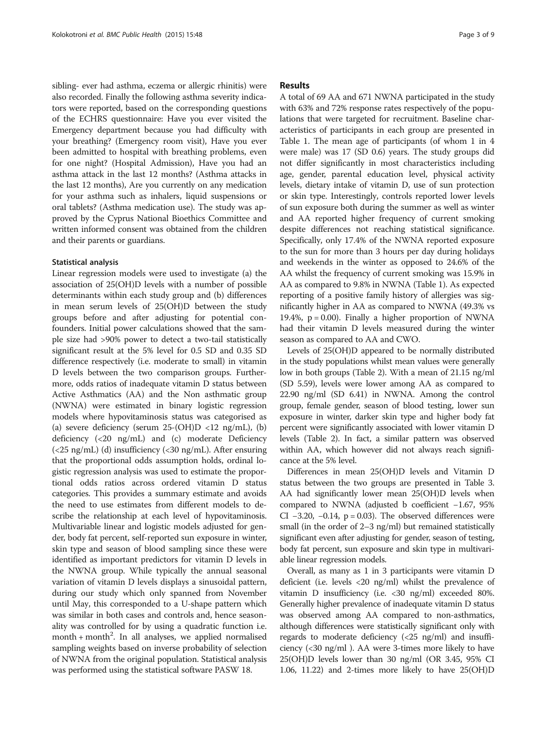sibling- ever had asthma, eczema or allergic rhinitis) were also recorded. Finally the following asthma severity indicators were reported, based on the corresponding questions of the ECHRS questionnaire: Have you ever visited the Emergency department because you had difficulty with your breathing? (Emergency room visit), Have you ever been admitted to hospital with breathing problems, even for one night? (Hospital Admission), Have you had an asthma attack in the last 12 months? (Asthma attacks in the last 12 months), Are you currently on any medication for your asthma such as inhalers, liquid suspensions or oral tablets? (Asthma medication use). The study was approved by the Cyprus National Bioethics Committee and written informed consent was obtained from the children and their parents or guardians.

#### Statistical analysis

Linear regression models were used to investigate (a) the association of 25(OH)D levels with a number of possible determinants within each study group and (b) differences in mean serum levels of 25(OH)D between the study groups before and after adjusting for potential confounders. Initial power calculations showed that the sample size had >90% power to detect a two-tail statistically significant result at the 5% level for 0.5 SD and 0.35 SD difference respectively (i.e. moderate to small) in vitamin D levels between the two comparison groups. Furthermore, odds ratios of inadequate vitamin D status between Active Asthmatics (AA) and the Non asthmatic group (NWNA) were estimated in binary logistic regression models where hypovitaminosis status was categorised as (a) severe deficiency (serum  $25-(OH)D < 12$  ng/mL), (b) deficiency (<20 ng/mL) and (c) moderate Deficiency (<25 ng/mL) (d) insufficiency (<30 ng/mL). After ensuring that the proportional odds assumption holds, ordinal logistic regression analysis was used to estimate the proportional odds ratios across ordered vitamin D status categories. This provides a summary estimate and avoids the need to use estimates from different models to describe the relationship at each level of hypovitaminosis. Multivariable linear and logistic models adjusted for gender, body fat percent, self-reported sun exposure in winter, skin type and season of blood sampling since these were identified as important predictors for vitamin D levels in the NWNA group. While typically the annual seasonal variation of vitamin D levels displays a sinusoidal pattern, during our study which only spanned from November until May, this corresponded to a U-shape pattern which was similar in both cases and controls and, hence seasonality was controlled for by using a quadratic function i.e. month + month<sup>2</sup>. In all analyses, we applied normalised sampling weights based on inverse probability of selection of NWNA from the original population. Statistical analysis was performed using the statistical software PASW 18.

#### Results

A total of 69 AA and 671 NWNA participated in the study with 63% and 72% response rates respectively of the populations that were targeted for recruitment. Baseline characteristics of participants in each group are presented in Table [1](#page-3-0). The mean age of participants (of whom 1 in 4 were male) was 17 (SD 0.6) years. The study groups did not differ significantly in most characteristics including age, gender, parental education level, physical activity levels, dietary intake of vitamin D, use of sun protection or skin type. Interestingly, controls reported lower levels of sun exposure both during the summer as well as winter and AA reported higher frequency of current smoking despite differences not reaching statistical significance. Specifically, only 17.4% of the NWNA reported exposure to the sun for more than 3 hours per day during holidays and weekends in the winter as opposed to 24.6% of the AA whilst the frequency of current smoking was 15.9% in AA as compared to 9.8% in NWNA (Table [1](#page-3-0)). As expected reporting of a positive family history of allergies was significantly higher in AA as compared to NWNA (49.3% vs 19.4%,  $p = 0.00$ ). Finally a higher proportion of NWNA had their vitamin D levels measured during the winter season as compared to AA and CWO.

Levels of 25(OH)D appeared to be normally distributed in the study populations whilst mean values were generally low in both groups (Table [2](#page-4-0)). With a mean of 21.15 ng/ml (SD 5.59), levels were lower among AA as compared to 22.90 ng/ml (SD 6.41) in NWNA. Among the control group, female gender, season of blood testing, lower sun exposure in winter, darker skin type and higher body fat percent were significantly associated with lower vitamin D levels (Table [2](#page-4-0)). In fact, a similar pattern was observed within AA, which however did not always reach significance at the 5% level.

Differences in mean 25(OH)D levels and Vitamin D status between the two groups are presented in Table [3](#page-5-0). AA had significantly lower mean 25(OH)D levels when compared to NWNA (adjusted b coefficient −1.67, 95% CI  $-3.20$ ,  $-0.14$ ,  $p = 0.03$ ). The observed differences were small (in the order of 2–3 ng/ml) but remained statistically significant even after adjusting for gender, season of testing, body fat percent, sun exposure and skin type in multivariable linear regression models.

Overall, as many as 1 in 3 participants were vitamin D deficient (i.e. levels <20 ng/ml) whilst the prevalence of vitamin D insufficiency (i.e. <30 ng/ml) exceeded 80%. Generally higher prevalence of inadequate vitamin D status was observed among AA compared to non-asthmatics, although differences were statistically significant only with regards to moderate deficiency (<25 ng/ml) and insufficiency (<30 ng/ml ). AA were 3-times more likely to have 25(OH)D levels lower than 30 ng/ml (OR 3.45, 95% CI 1.06, 11.22) and 2-times more likely to have 25(OH)D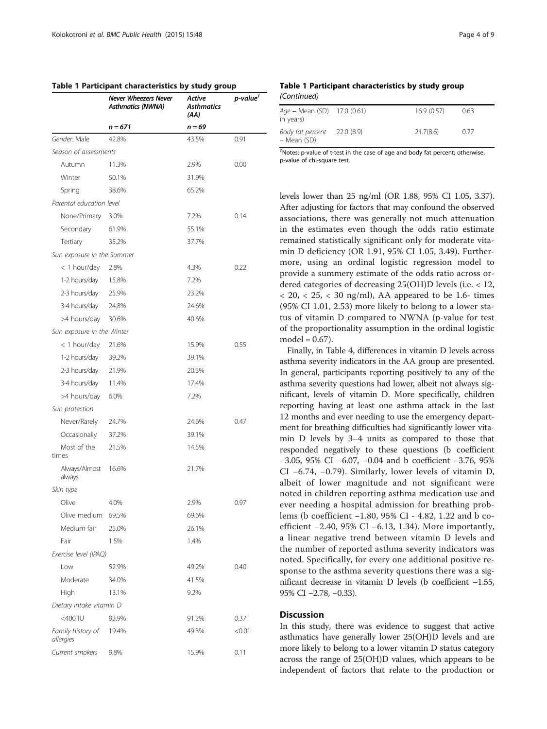<span id="page-3-0"></span>

| Table 1 Participant characteristics by study group |  |
|----------------------------------------------------|--|
|----------------------------------------------------|--|

|                                | <b>Never Wheezers Never</b><br><b>Asthmatics (NWNA)</b> | Active<br><b>Asthmatics</b><br>(AA) | $p$ -value $^{\dagger}$ |
|--------------------------------|---------------------------------------------------------|-------------------------------------|-------------------------|
|                                | $n = 671$                                               | n = 69                              |                         |
| Gender: Male                   | 42.8%                                                   | 43.5%                               | 0.91                    |
| Season of assessments          |                                                         |                                     |                         |
| Autumn                         | 11.3%                                                   | 2.9%                                | 0.00                    |
| Winter                         | 50.1%                                                   | 31.9%                               |                         |
| Spring                         | 38.6%                                                   | 65.2%                               |                         |
| Parental education level       |                                                         |                                     |                         |
| None/Primary                   | 3.0%                                                    | 7.2%                                | 0.14                    |
| Secondary                      | 61.9%                                                   | 55.1%                               |                         |
| Tertiary                       | 35.2%                                                   | 37.7%                               |                         |
| Sun exposure in the Summer     |                                                         |                                     |                         |
| < 1 hour/day                   | 2.8%                                                    | 4.3%                                | 0.22                    |
| 1-2 hours/day                  | 15.8%                                                   | 7.2%                                |                         |
| 2-3 hours/day                  | 25.9%                                                   | 23.2%                               |                         |
| 3-4 hours/day                  | 24.8%                                                   | 24.6%                               |                         |
| >4 hours/day                   | 30.6%                                                   | 40.6%                               |                         |
| Sun exposure in the Winter     |                                                         |                                     |                         |
| $<$ 1 hour/day                 | 21.6%                                                   | 15.9%                               | 0.55                    |
| 1-2 hours/day                  | 39.2%                                                   | 39.1%                               |                         |
| 2-3 hours/day                  | 21.9%                                                   | 20.3%                               |                         |
| 3-4 hours/day                  | 11.4%                                                   | 17.4%                               |                         |
| >4 hours/day                   | 6.0%                                                    | 7.2%                                |                         |
| Sun protection                 |                                                         |                                     |                         |
| Never/Rarely                   | 24.7%                                                   | 24.6%                               | 0.47                    |
| Occasionally                   | 37.2%                                                   | 39.1%                               |                         |
| Most of the<br>times           | 21.5%                                                   | 14.5%                               |                         |
| Always/Almost<br>always        | 16.6%                                                   | 21.7%                               |                         |
| Skin type                      |                                                         |                                     |                         |
| Olive                          | 4.0%                                                    | 2.9%                                | 0.97                    |
| Olive medium 69.5%             |                                                         | 69.6%                               |                         |
| Medium fair                    | 25.0%                                                   | 26.1%                               |                         |
| Fair                           | 1.5%                                                    | 1.4%                                |                         |
| Exercise level (IPAQ)          |                                                         |                                     |                         |
| Low                            | 52.9%                                                   | 49.2%                               | 0.40                    |
| Moderate                       | 34.0%                                                   | 41.5%                               |                         |
| High                           | 13.1%                                                   | 9.2%                                |                         |
| Dietary intake vitamin D       |                                                         |                                     |                         |
| <400 IU                        | 93.9%                                                   | 91.2%                               | 0.37                    |
| Family history of<br>allergies | 19.4%                                                   | 49.3%                               | < 0.01                  |
| Current smokers                | 9.8%                                                    | 15.9%                               | 0.11                    |

| Table 1 Participant characteristics by study group |  |
|----------------------------------------------------|--|
| (Continued)                                        |  |

| Age – Mean (SD) 17.0 (0.61)<br>in years) |            | 16.9(0.57) | 0.63 |
|------------------------------------------|------------|------------|------|
| Body fat percent<br>– Mean (SD)          | 22.0 (8.9) | 21.7(8.6)  | 0.77 |

† Notes: p-value of t-test in the case of age and body fat percent; otherwise, p-value of chi-square test.

levels lower than 25 ng/ml (OR 1.88, 95% CI 1.05, 3.37). After adjusting for factors that may confound the observed associations, there was generally not much attenuation in the estimates even though the odds ratio estimate remained statistically significant only for moderate vitamin D deficiency (OR 1.91, 95% CI 1.05, 3.49). Furthermore, using an ordinal logistic regression model to provide a summery estimate of the odds ratio across ordered categories of decreasing 25(OH)D levels (i.e. < 12,  $< 20, < 25, < 30$  ng/ml), AA appeared to be 1.6- times (95% CI 1.01, 2.53) more likely to belong to a lower status of vitamin D compared to NWNA (p-value for test of the proportionality assumption in the ordinal logistic  $model = 0.67$ ).

Finally, in Table [4](#page-6-0), differences in vitamin D levels across asthma severity indicators in the AA group are presented. In general, participants reporting positively to any of the asthma severity questions had lower, albeit not always significant, levels of vitamin D. More specifically, children reporting having at least one asthma attack in the last 12 months and ever needing to use the emergency department for breathing difficulties had significantly lower vitamin D levels by 3–4 units as compared to those that responded negatively to these questions (b coefficient −3.05, 95% CI −6.07, −0.04 and b coefficient −3.76, 95% CI −6.74, −0.79). Similarly, lower levels of vitamin D, albeit of lower magnitude and not significant were noted in children reporting asthma medication use and ever needing a hospital admission for breathing problems (b coefficient −1.80, 95% CI - 4.82, 1.22 and b coefficient −2.40, 95% CI −6.13, 1.34). More importantly, a linear negative trend between vitamin D levels and the number of reported asthma severity indicators was noted. Specifically, for every one additional positive response to the asthma severity questions there was a significant decrease in vitamin D levels (b coefficient −1.55, 95% CI −2.78, −0.33).

#### **Discussion**

In this study, there was evidence to suggest that active asthmatics have generally lower 25(OH)D levels and are more likely to belong to a lower vitamin D status category across the range of 25(OH)D values, which appears to be independent of factors that relate to the production or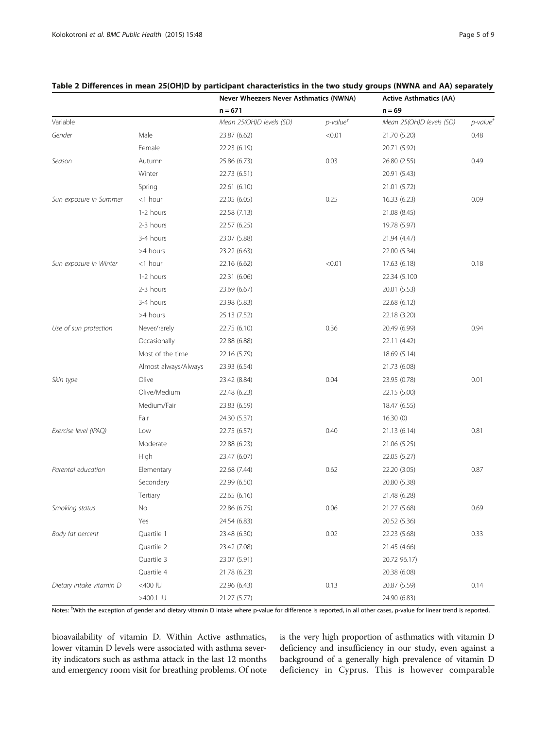|                          |                      | <b>Heezels Never Astrillatics</b> (N<br>$n = 671$ |                      | E ASUMIQUUS (AA)<br>$n = 69$ |                         |
|--------------------------|----------------------|---------------------------------------------------|----------------------|------------------------------|-------------------------|
|                          |                      |                                                   |                      |                              |                         |
| Variable                 |                      | Mean 25(OH)D levels (SD)                          | $p$ -value $\bar{p}$ | Mean 25(OH)D levels (SD)     | $p$ -value <sup>1</sup> |
| Gender                   | Male                 | 23.87 (6.62)                                      | < 0.01               | 21.70 (5.20)                 | 0.48                    |
|                          | Female               | 22.23 (6.19)                                      |                      | 20.71 (5.92)                 |                         |
| Season                   | Autumn               | 25.86 (6.73)                                      | 0.03                 | 26.80 (2.55)                 | 0.49                    |
|                          | Winter               | 22.73 (6.51)                                      |                      | 20.91 (5.43)                 |                         |
|                          | Spring               | 22.61 (6.10)                                      |                      | 21.01 (5.72)                 |                         |
| Sun exposure in Summer   | $<$ 1 hour           | 22.05 (6.05)                                      | 0.25                 | 16.33 (6.23)                 | 0.09                    |
|                          | 1-2 hours            | 22.58 (7.13)                                      |                      | 21.08 (8.45)                 |                         |
|                          | 2-3 hours            | 22.57 (6.25)                                      |                      | 19.78 (5.97)                 |                         |
|                          | 3-4 hours            | 23.07 (5.88)                                      |                      | 21.94 (4.47)                 |                         |
|                          | >4 hours             | 23.22 (6.63)                                      |                      | 22.00 (5.34)                 |                         |
| Sun exposure in Winter   | $<$ 1 hour           | 22.16 (6.62)                                      | < 0.01               | 17.63 (6.18)                 | 0.18                    |
|                          | 1-2 hours            | 22.31 (6.06)                                      |                      | 22.34 (5.100                 |                         |
|                          | 2-3 hours            | 23.69 (6.67)                                      |                      | 20.01 (5.53)                 |                         |
|                          | 3-4 hours            | 23.98 (5.83)                                      |                      | 22.68 (6.12)                 |                         |
|                          | >4 hours             | 25.13 (7.52)                                      |                      | 22.18 (3.20)                 |                         |
| Use of sun protection    | Never/rarely         | 22.75 (6.10)                                      | 0.36                 | 20.49 (6.99)                 | 0.94                    |
|                          | Occasionally         | 22.88 (6.88)                                      |                      | 22.11 (4.42)                 |                         |
|                          | Most of the time     | 22.16 (5.79)                                      |                      | 18.69 (5.14)                 |                         |
|                          | Almost always/Always | 23.93 (6.54)                                      |                      | 21.73 (6.08)                 |                         |
| Skin type                | Olive                | 23.42 (8.84)                                      | 0.04                 | 23.95 (0.78)                 | 0.01                    |
|                          | Olive/Medium         | 22.48 (6.23)                                      |                      | 22.15 (5.00)                 |                         |
|                          | Medium/Fair          | 23.83 (6.59)                                      |                      | 18.47 (6.55)                 |                         |
|                          | Fair                 | 24.30 (5.37)                                      |                      | 16.30(0)                     |                         |
| Exercise level (IPAQ)    | Low                  | 22.75 (6.57)                                      | 0.40                 | 21.13 (6.14)                 | 0.81                    |
|                          | Moderate             | 22.88 (6.23)                                      |                      | 21.06 (5.25)                 |                         |
|                          | High                 | 23.47 (6.07)                                      |                      | 22.05 (5.27)                 |                         |
| Parental education       | Elementary           | 22.68 (7.44)                                      | 0.62                 | 22.20 (3.05)                 | 0.87                    |
|                          | Secondary            | 22.99 (6.50)                                      |                      | 20.80 (5.38)                 |                         |
|                          | Tertiary             | 22.65 (6.16)                                      |                      | 21.48 (6.28)                 |                         |
| Smoking status           | No                   | 22.86 (6.75)                                      | 0.06                 | 21.27 (5.68)                 | 0.69                    |
|                          | Yes                  | 24.54 (6.83)                                      |                      | 20.52 (5.36)                 |                         |
| Body fat percent         | Quartile 1           | 23.48 (6.30)                                      | 0.02                 | 22.23 (5.68)                 | 0.33                    |
|                          | Quartile 2           | 23.42 (7.08)                                      |                      | 21.45 (4.66)                 |                         |
|                          | Quartile 3           | 23.07 (5.91)                                      |                      | 20.72 96.17)                 |                         |
|                          | Quartile 4           | 21.78 (6.23)                                      |                      | 20.38 (6.08)                 |                         |
| Dietary intake vitamin D | <400 IU              | 22.96 (6.43)                                      | 0.13                 | 20.87 (5.59)                 | 0.14                    |
|                          | >400.1 IU            | 21.27 (5.77)                                      |                      | 24.90 (6.83)                 |                         |

#### <span id="page-4-0"></span>Table 2 Differences in mean 25(OH)D by participant characteristics in the two study groups (NWNA and AA) separately

Notes: † With the exception of gender and dietary vitamin D intake where p-value for difference is reported, in all other cases, p-value for linear trend is reported.

bioavailability of vitamin D. Within Active asthmatics, lower vitamin D levels were associated with asthma severity indicators such as asthma attack in the last 12 months and emergency room visit for breathing problems. Of note is the very high proportion of asthmatics with vitamin D deficiency and insufficiency in our study, even against a background of a generally high prevalence of vitamin D deficiency in Cyprus. This is however comparable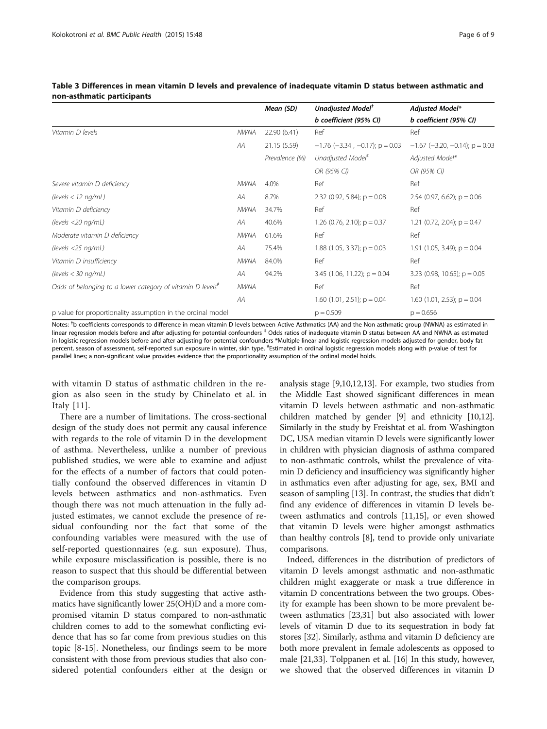|                                                                        |             | Mean (SD)              | Unadjusted Model $T$                    | Adjusted Model*                    |
|------------------------------------------------------------------------|-------------|------------------------|-----------------------------------------|------------------------------------|
|                                                                        |             | b coefficient (95% CI) | b coefficient (95% CI)                  |                                    |
| Vitamin D levels                                                       | NWNA        | 22.90 (6.41)           | Ref                                     | Ref                                |
|                                                                        | AA          | 21.15 (5.59)           | $-1.76$ ( $-3.34$ , $-0.17$ ); p = 0.03 | $-1.67$ (-3.20, -0.14); $p = 0.03$ |
|                                                                        |             | Prevalence (%)         | Unadjusted Model <sup>#</sup>           | Adjusted Model*                    |
|                                                                        |             |                        | OR (95% CI)                             | OR (95% CI)                        |
| Severe vitamin D deficiency                                            | NWNA        | 4.0%                   | Ref                                     | Ref                                |
| (levels < 12 ng/mL)                                                    | AA          | 8.7%                   | 2.32 (0.92, 5.84); $p = 0.08$           | 2.54 (0.97, 6.62); $p = 0.06$      |
| Vitamin D deficiency                                                   | NWNA        | 34.7%                  | Ref                                     | Ref                                |
| (levels $<$ 20 ng/mL)                                                  | AA          | 40.6%                  | 1.26 (0.76, 2.10); $p = 0.37$           | 1.21 (0.72, 2.04); $p = 0.47$      |
| Moderate vitamin D deficiency                                          | NWNA        | 61.6%                  | Ref                                     | Ref                                |
| (levels $<$ 25 ng/mL)                                                  | АA          | 75.4%                  | 1.88 $(1.05, 3.37)$ ; p = 0.03          | 1.91 $(1.05, 3.49)$ ; $p = 0.04$   |
| Vitamin D insufficiency                                                | <b>NWNA</b> | 84.0%                  | Ref                                     | Ref                                |
| (levels < 30 ng/mL)                                                    | АA          | 94.2%                  | 3.45 $(1.06, 11.22)$ ; p = 0.04         | 3.23 (0.98, 10.65); $p = 0.05$     |
| Odds of belonging to a lower category of vitamin D levels <sup>#</sup> | <b>NWNA</b> |                        | Ref                                     | Ref                                |
|                                                                        | AA          |                        | 1.60 $(1.01, 2.51)$ ; p = 0.04          | 1.60 $(1.01, 2.53)$ ; p = 0.04     |
| p value for proportionality assumption in the ordinal model            |             |                        | $p = 0.509$                             | $p = 0.656$                        |

#### <span id="page-5-0"></span>Table 3 Differences in mean vitamin D levels and prevalence of inadequate vitamin D status between asthmatic and non-asthmatic participants

Notes: <sup>†</sup>b coefficients corresponds to difference in mean vitamin D levels between Active Asthmatics (AA) and the Non asthmatic group (NWNA) as estimated in linear regression models before and after adjusting for potential confounders <sup>‡</sup> Odds ratios of inadequate vitamin D status between AA and NWNA as estimated in logistic regression models before and after adjusting for potential confounders \*Multiple linear and logistic regression models adjusted for gender, body fat percent, season of assessment, self-reported sun exposure in winter, skin type. <sup>#</sup>Estimated in ordinal logistic regression models along with p-value of test for parallel lines; a non-significant value provides evidence that the proportionality assumption of the ordinal model holds.

with vitamin D status of asthmatic children in the region as also seen in the study by Chinelato et al. in Italy [\[11\]](#page-7-0).

There are a number of limitations. The cross-sectional design of the study does not permit any causal inference with regards to the role of vitamin D in the development of asthma. Nevertheless, unlike a number of previous published studies, we were able to examine and adjust for the effects of a number of factors that could potentially confound the observed differences in vitamin D levels between asthmatics and non-asthmatics. Even though there was not much attenuation in the fully adjusted estimates, we cannot exclude the presence of residual confounding nor the fact that some of the confounding variables were measured with the use of self-reported questionnaires (e.g. sun exposure). Thus, while exposure misclassification is possible, there is no reason to suspect that this should be differential between the comparison groups.

Evidence from this study suggesting that active asthmatics have significantly lower 25(OH)D and a more compromised vitamin D status compared to non-asthmatic children comes to add to the somewhat conflicting evidence that has so far come from previous studies on this topic [[8-15\]](#page-7-0). Nonetheless, our findings seem to be more consistent with those from previous studies that also considered potential confounders either at the design or

analysis stage [\[9,10,12](#page-7-0),[13](#page-7-0)]. For example, two studies from the Middle East showed significant differences in mean vitamin D levels between asthmatic and non-asthmatic children matched by gender [[9](#page-7-0)] and ethnicity [\[10,12](#page-7-0)]. Similarly in the study by Freishtat et al. from Washington DC, USA median vitamin D levels were significantly lower in children with physician diagnosis of asthma compared to non-asthmatic controls, whilst the prevalence of vitamin D deficiency and insufficiency was significantly higher in asthmatics even after adjusting for age, sex, BMI and season of sampling [\[13\]](#page-7-0). In contrast, the studies that didn't find any evidence of differences in vitamin D levels between asthmatics and controls [\[11,15\]](#page-7-0), or even showed that vitamin D levels were higher amongst asthmatics than healthy controls [\[8\]](#page-7-0), tend to provide only univariate comparisons.

Indeed, differences in the distribution of predictors of vitamin D levels amongst asthmatic and non-asthmatic children might exaggerate or mask a true difference in vitamin D concentrations between the two groups. Obesity for example has been shown to be more prevalent between asthmatics [[23](#page-8-0),[31](#page-8-0)] but also associated with lower levels of vitamin D due to its sequestration in body fat stores [\[32\]](#page-8-0). Similarly, asthma and vitamin D deficiency are both more prevalent in female adolescents as opposed to male [\[21,33](#page-8-0)]. Tolppanen et al. [[16](#page-7-0)] In this study, however, we showed that the observed differences in vitamin D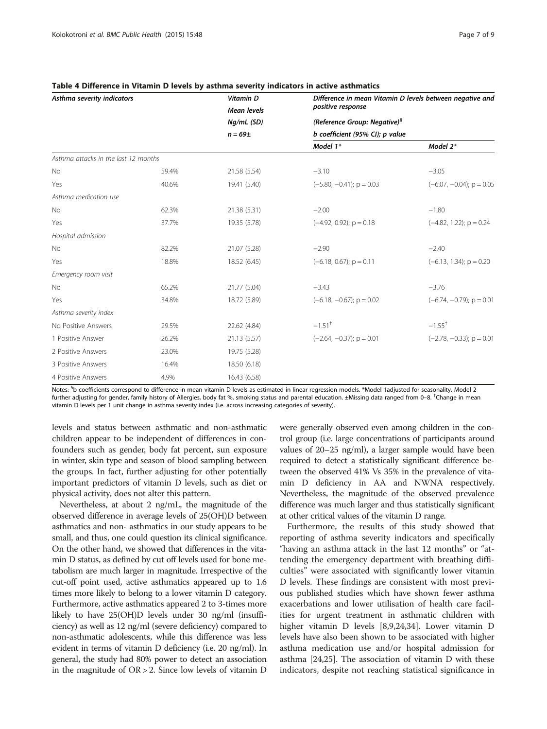| Asthma severity indicators           |       | <b>Vitamin D</b>   | Difference in mean Vitamin D levels between negative and      |                              |  |
|--------------------------------------|-------|--------------------|---------------------------------------------------------------|------------------------------|--|
|                                      |       | <b>Mean levels</b> | positive response<br>(Reference Group: Negative) <sup>§</sup> |                              |  |
|                                      |       | Ng/mL (SD)         |                                                               |                              |  |
|                                      |       | $n = 69\pm$        | b coefficient (95% CI); p value                               |                              |  |
|                                      |       |                    | Model 1*                                                      | Model 2*                     |  |
| Asthma attacks in the last 12 months |       |                    |                                                               |                              |  |
| <b>No</b>                            | 59.4% | 21.58 (5.54)       | $-3.10$                                                       | $-3.05$                      |  |
| Yes                                  | 40.6% | 19.41 (5.40)       | $(-5.80, -0.41); p = 0.03$                                    | $(-6.07, -0.04); p = 0.05$   |  |
| Asthma medication use                |       |                    |                                                               |                              |  |
| No                                   | 62.3% | 21.38 (5.31)       | $-2.00$                                                       | $-1.80$                      |  |
| Yes                                  | 37.7% | 19.35 (5.78)       | $(-4.92, 0.92)$ ; $p = 0.18$                                  | $(-4.82, 1.22)$ ; $p = 0.24$ |  |
| Hospital admission                   |       |                    |                                                               |                              |  |
| No                                   | 82.2% | 21.07 (5.28)       | $-2.90$                                                       | $-2.40$                      |  |
| Yes                                  | 18.8% | 18.52 (6.45)       | $(-6.18, 0.67); p = 0.11$                                     | $(-6.13, 1.34)$ ; $p = 0.20$ |  |
| Emergency room visit                 |       |                    |                                                               |                              |  |
| No                                   | 65.2% | 21.77 (5.04)       | $-3.43$                                                       | $-3.76$                      |  |
| Yes                                  | 34.8% | 18.72 (5.89)       | $(-6.18, -0.67); p = 0.02$                                    | $(-6.74, -0.79)$ ; p = 0.01  |  |
| Asthma severity index                |       |                    |                                                               |                              |  |
| No Positive Answers                  | 29.5% | 22.62 (4.84)       | $-1.51$ <sup>+</sup>                                          | $-1.55$ <sup>+</sup>         |  |
| 1 Positive Answer                    | 26.2% | 21.13 (5.57)       | $(-2.64, -0.37);$ p = 0.01                                    | $(-2.78, -0.33);$ $p = 0.01$ |  |
| 2 Positive Answers                   | 23.0% | 19.75 (5.28)       |                                                               |                              |  |
| 3 Positive Answers                   | 16.4% | 18.50 (6.18)       |                                                               |                              |  |
| 4 Positive Answers                   | 4.9%  | 16.43 (6.58)       |                                                               |                              |  |

<span id="page-6-0"></span>

Notes: <sup>s</sup>b coefficients correspond to difference in mean vitamin D levels as estimated in linear regression models. \*Model 1adjusted for seasonality. Model 2 further adjusting for gender, family history of Allergies, body fat %, smoking status and parental education. ±Missing data ranged from 0–8. † Change in mean vitamin D levels per 1 unit change in asthma severity index (i.e. across increasing categories of severity).

levels and status between asthmatic and non-asthmatic children appear to be independent of differences in confounders such as gender, body fat percent, sun exposure in winter, skin type and season of blood sampling between the groups. In fact, further adjusting for other potentially important predictors of vitamin D levels, such as diet or physical activity, does not alter this pattern.

Nevertheless, at about 2 ng/mL, the magnitude of the observed difference in average levels of 25(OH)D between asthmatics and non- asthmatics in our study appears to be small, and thus, one could question its clinical significance. On the other hand, we showed that differences in the vitamin D status, as defined by cut off levels used for bone metabolism are much larger in magnitude. Irrespective of the cut-off point used, active asthmatics appeared up to 1.6 times more likely to belong to a lower vitamin D category. Furthermore, active asthmatics appeared 2 to 3-times more likely to have 25(OH)D levels under 30 ng/ml (insufficiency) as well as 12 ng/ml (severe deficiency) compared to non-asthmatic adolescents, while this difference was less evident in terms of vitamin D deficiency (i.e. 20 ng/ml). In general, the study had 80% power to detect an association in the magnitude of OR > 2. Since low levels of vitamin D

were generally observed even among children in the control group (i.e. large concentrations of participants around values of 20–25 ng/ml), a larger sample would have been required to detect a statistically significant difference between the observed 41% Vs 35% in the prevalence of vitamin D deficiency in AA and NWNA respectively. Nevertheless, the magnitude of the observed prevalence difference was much larger and thus statistically significant at other critical values of the vitamin D range.

Furthermore, the results of this study showed that reporting of asthma severity indicators and specifically "having an asthma attack in the last 12 months" or "attending the emergency department with breathing difficulties" were associated with significantly lower vitamin D levels. These findings are consistent with most previous published studies which have shown fewer asthma exacerbations and lower utilisation of health care facilities for urgent treatment in asthmatic children with higher vitamin D levels [[8,9,](#page-7-0)[24,34\]](#page-8-0). Lower vitamin D levels have also been shown to be associated with higher asthma medication use and/or hospital admission for asthma [[24,25\]](#page-8-0). The association of vitamin D with these indicators, despite not reaching statistical significance in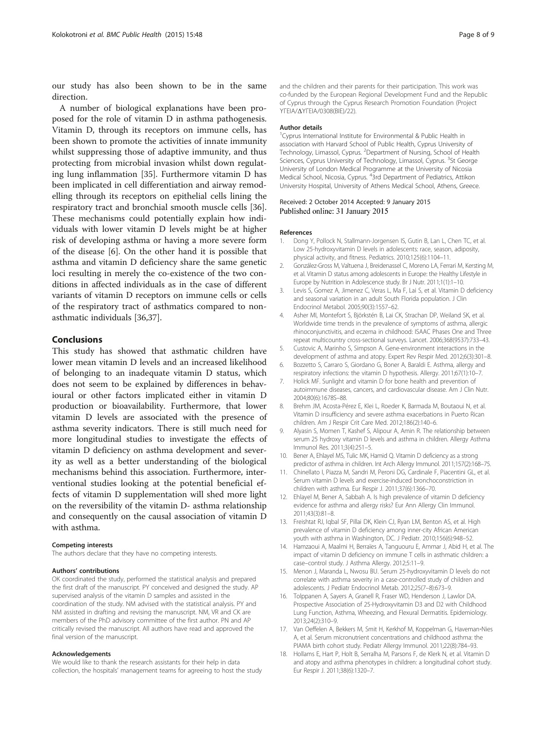<span id="page-7-0"></span>our study has also been shown to be in the same direction.

A number of biological explanations have been proposed for the role of vitamin D in asthma pathogenesis. Vitamin D, through its receptors on immune cells, has been shown to promote the activities of innate immunity whilst suppressing those of adaptive immunity, and thus protecting from microbial invasion whilst down regulating lung inflammation [[35](#page-8-0)]. Furthermore vitamin D has been implicated in cell differentiation and airway remodelling through its receptors on epithelial cells lining the respiratory tract and bronchial smooth muscle cells [\[36](#page-8-0)]. These mechanisms could potentially explain how individuals with lower vitamin D levels might be at higher risk of developing asthma or having a more severe form of the disease [6]. On the other hand it is possible that asthma and vitamin D deficiency share the same genetic loci resulting in merely the co-existence of the two conditions in affected individuals as in the case of different variants of vitamin D receptors on immune cells or cells of the respiratory tract of asthmatics compared to nonasthmatic individuals [\[36,37](#page-8-0)].

#### Conclusions

This study has showed that asthmatic children have lower mean vitamin D levels and an increased likelihood of belonging to an inadequate vitamin D status, which does not seem to be explained by differences in behavioural or other factors implicated either in vitamin D production or bioavailability. Furthermore, that lower vitamin D levels are associated with the presence of asthma severity indicators. There is still much need for more longitudinal studies to investigate the effects of vitamin D deficiency on asthma development and severity as well as a better understanding of the biological mechanisms behind this association. Furthermore, interventional studies looking at the potential beneficial effects of vitamin D supplementation will shed more light on the reversibility of the vitamin D- asthma relationship and consequently on the causal association of vitamin D with asthma.

#### Competing interests

The authors declare that they have no competing interests.

#### Authors' contributions

OK coordinated the study, performed the statistical analysis and prepared the first draft of the manuscript. PY conceived and designed the study. AP supervised analysis of the vitamin D samples and assisted in the coordination of the study. NM advised with the statistical analysis. PY and NM assisted in drafting and revising the manuscript. NM, VR and CK are members of the PhD advisory committee of the first author. PN and AP critically revised the manuscript. All authors have read and approved the final version of the manuscript.

#### Acknowledgements

We would like to thank the research assistants for their help in data collection, the hospitals' management teams for agreeing to host the study

and the children and their parents for their participation. This work was co-funded by the European Regional Development Fund and the Republic of Cyprus through the Cyprus Research Promotion Foundation (Project ΥΓΕΙΑ/ΔΥΓΕΙΑ/0308(ΒΙΕ)/22).

#### Author details

<sup>1</sup> Cyprus International Institute for Environmental & Public Health in association with Harvard School of Public Health, Cyprus University of Technology, Limassol, Cyprus. <sup>2</sup>Department of Nursing, School of Health Sciences, Cyprus University of Technology, Limassol, Cyprus. <sup>3</sup>St George University of London Medical Programme at the University of Nicosia Medical School, Nicosia, Cyprus. <sup>4</sup>3rd Department of Pediatrics, Attikon University Hospital, University of Athens Medical School, Athens, Greece.

#### Received: 2 October 2014 Accepted: 9 January 2015 Published online: 31 January 2015

#### References

- 1. Dong Y, Pollock N, Stallmann-Jorgensen IS, Gutin B, Lan L, Chen TC, et al. Low 25-hydroxyvitamin D levels in adolescents: race, season, adiposity, physical activity, and fitness. Pediatrics. 2010;125(6):1104–11.
- 2. González-Gross M, Valtuena J, Breidenassel C, Moreno LA, Ferrari M, Kersting M, et al. Vitamin D status among adolescents in Europe: the Healthy Lifestyle in Europe by Nutrition in Adolescence study. Br J Nutr. 2011;1(1):1–10.
- 3. Levis S, Gomez A, Jimenez C, Veras L, Ma F, Lai S, et al. Vitamin D deficiency and seasonal variation in an adult South Florida population. J Clin Endocrinol Metabol. 2005;90(3):1557–62.
- 4. Asher MI, Montefort S, Björkstén B, Lai CK, Strachan DP, Weiland SK, et al. Worldwide time trends in the prevalence of symptoms of asthma, allergic rhinoconjunctivitis, and eczema in childhood: ISAAC Phases One and Three repeat multicountry cross-sectional surveys. Lancet. 2006;368(9537):733–43.
- 5. Custovic A, Marinho S, Simpson A. Gene-environment interactions in the development of asthma and atopy. Expert Rev Respir Med. 2012;6(3):301–8.
- 6. Bozzetto S, Carraro S, Giordano G, Boner A, Baraldi E. Asthma, allergy and respiratory infections: the vitamin D hypothesis. Allergy. 2011;67(1):10–7.
- 7. Holick MF. Sunlight and vitamin D for bone health and prevention of autoimmune diseases, cancers, and cardiovascular disease. Am J Clin Nutr. 2004;80(6):1678S–88.
- 8. Brehm JM, Acosta-Pérez E, Klei L, Roeder K, Barmada M, Boutaoui N, et al. Vitamin D insufficiency and severe asthma exacerbations in Puerto Rican children. Am J Respir Crit Care Med. 2012;186(2):140–6.
- 9. Alyasin S, Momen T, Kashef S, Alipour A, Amin R. The relationship between serum 25 hydroxy vitamin D levels and asthma in children. Allergy Asthma Immunol Res. 2011;3(4):251–5.
- 10. Bener A, Ehlayel MS, Tulic MK, Hamid Q. Vitamin D deficiency as a strong predictor of asthma in children. Int Arch Allergy Immunol. 2011;157(2):168–75.
- 11. Chinellato I, Piazza M, Sandri M, Peroni DG, Cardinale F, Piacentini GL, et al. Serum vitamin D levels and exercise-induced bronchoconstriction in children with asthma. Eur Respir J. 2011;37(6):1366–70.
- 12. Ehlayel M, Bener A, Sabbah A. Is high prevalence of vitamin D deficiency evidence for asthma and allergy risks? Eur Ann Allergy Clin Immunol. 2011;43(3):81–8.
- 13. Freishtat RJ, Iqbal SF, Pillai DK, Klein CJ, Ryan LM, Benton AS, et al. High prevalence of vitamin D deficiency among inner-city African American youth with asthma in Washington, DC. J Pediatr. 2010;156(6):948–52.
- 14. Hamzaoui A, Maalmi H, Berraïes A, Tanguouru E, Ammar J, Abid H, et al. The impact of vitamin D deficiency on immune T cells in asthmatic children: a case–control study. J Asthma Allergy. 2012;5:11–9.
- 15. Menon J, Maranda L, Nwosu BU. Serum 25-hydroxyvitamin D levels do not correlate with asthma severity in a case-controlled study of children and adolescents. J Pediatr Endocrinol Metab. 2012;25(7–8):673–9.
- 16. Tolppanen A, Sayers A, Granell R, Fraser WD, Henderson J, Lawlor DA. Prospective Association of 25-Hydroxyvitamin D3 and D2 with Childhood Lung Function, Asthma, Wheezing, and Flexural Dermatitis. Epidemiology. 2013;24(2):310–9.
- 17. Van Oeffelen A, Bekkers M, Smit H, Kerkhof M, Koppelman G, Haveman‐Nies A, et al. Serum micronutrient concentrations and childhood asthma: the PIAMA birth cohort study. Pediatr Allergy Immunol. 2011;22(8):784–93.
- 18. Hollams E, Hart P, Holt B, Serralha M, Parsons F, de Klerk N, et al. Vitamin D and atopy and asthma phenotypes in children: a longitudinal cohort study. Eur Respir J. 2011;38(6):1320–7.